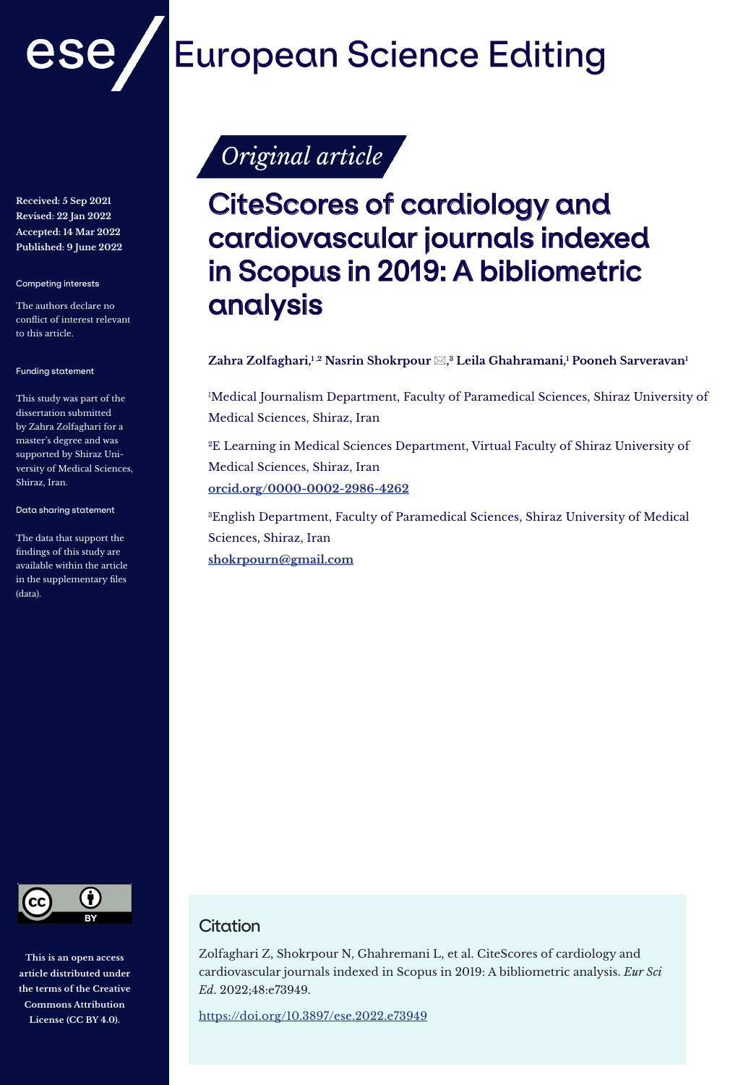

**Received: 5 Sep 2021 Revised: 22 Jan 2022 Accepted: 14 Mar 2022 Published: 9 June 2022**

Competing interests

The authors declare no conflict of interest relevant to this article.

Funding statement

This study was part of the dissertation submitted by Zahra Zolfaghari for a master's degree and was supported by Shiraz University of Medical Sciences, Shiraz, Iran.

Data sharing statement

The data that support the findings of this study are available within the article in the supplementary files (data).



**This is an open access article distributed under the terms of the Creative Commons Attribution License (CC BY 4.0).**

# **European Science Editing**

Original article

## CiteScores of cardiology and cardiovascular journals indexed in Scopus in 2019: A bibliometric analysis

#### $\mathbf{Z}$ ahra Zolfaghari,<sup>1,2</sup> Nasrin Shokrpour  $\boxtimes,^3$  Leila Ghahramani,<sup>1</sup> Pooneh Sarveravan<sup>1</sup>

1 Medical Journalism Department, Faculty of Paramedical Sciences, Shiraz University of Medical Sciences, Shiraz, Iran

2E Learning in Medical Sciences Department, Virtual Faculty of Shiraz University of Medical Sciences, Shiraz, Iran

**orcid.org/0000-0002-2986-4262**

3English Department, Faculty of Paramedical Sciences, Shiraz University of Medical Sciences, Shiraz, Iran

**shokrpourn@gmail.com**

### **Citation**

Zolfaghari Z, Shokrpour N, Ghahremani L, et al. CiteScores of cardiology and cardiovascular journals indexed in Scopus in 2019: A bibliometric analysis. *Eur Sci Ed*. 2022;48:e73949.

https://doi.org/10.3897/ese.2022.e73949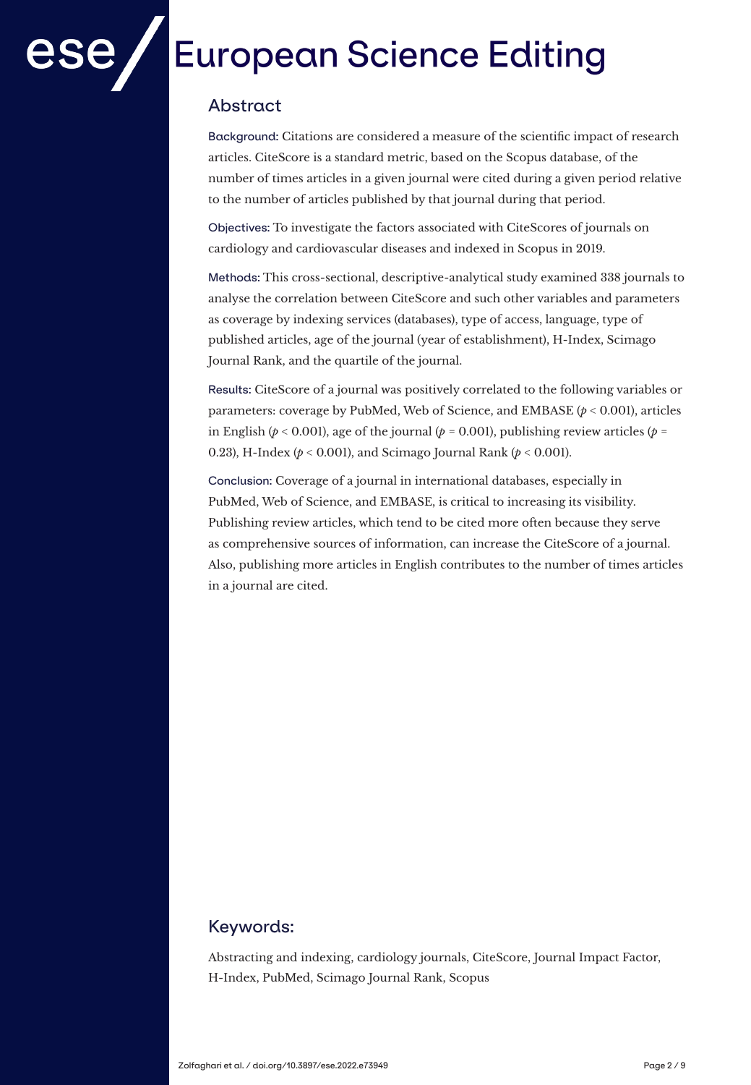# **European Science Editing**

## Abstract

Background: Citations are considered a measure of the scientific impact of research articles. CiteScore is a standard metric, based on the Scopus database, of the number of times articles in a given journal were cited during a given period relative to the number of articles published by that journal during that period.

Objectives: To investigate the factors associated with CiteScores of journals on cardiology and cardiovascular diseases and indexed in Scopus in 2019.

Methods: This cross-sectional, descriptive-analytical study examined 338 journals to analyse the correlation between CiteScore and such other variables and parameters as coverage by indexing services (databases), type of access, language, type of published articles, age of the journal (year of establishment), H-Index, Scimago Journal Rank, and the quartile of the journal.

Results: CiteScore of a journal was positively correlated to the following variables or parameters: coverage by PubMed, Web of Science, and EMBASE (*p* < 0.001), articles in English ( $p < 0.001$ ), age of the journal ( $p = 0.001$ ), publishing review articles ( $p =$ 0.23), H-Index (*p* < 0.001), and Scimago Journal Rank (*p* < 0.001).

Conclusion: Coverage of a journal in international databases, especially in PubMed, Web of Science, and EMBASE, is critical to increasing its visibility. Publishing review articles, which tend to be cited more often because they serve as comprehensive sources of information, can increase the CiteScore of a journal. Also, publishing more articles in English contributes to the number of times articles in a journal are cited.

## Keywords:

Abstracting and indexing, cardiology journals, CiteScore, Journal Impact Factor, H-Index, PubMed, Scimago Journal Rank, Scopus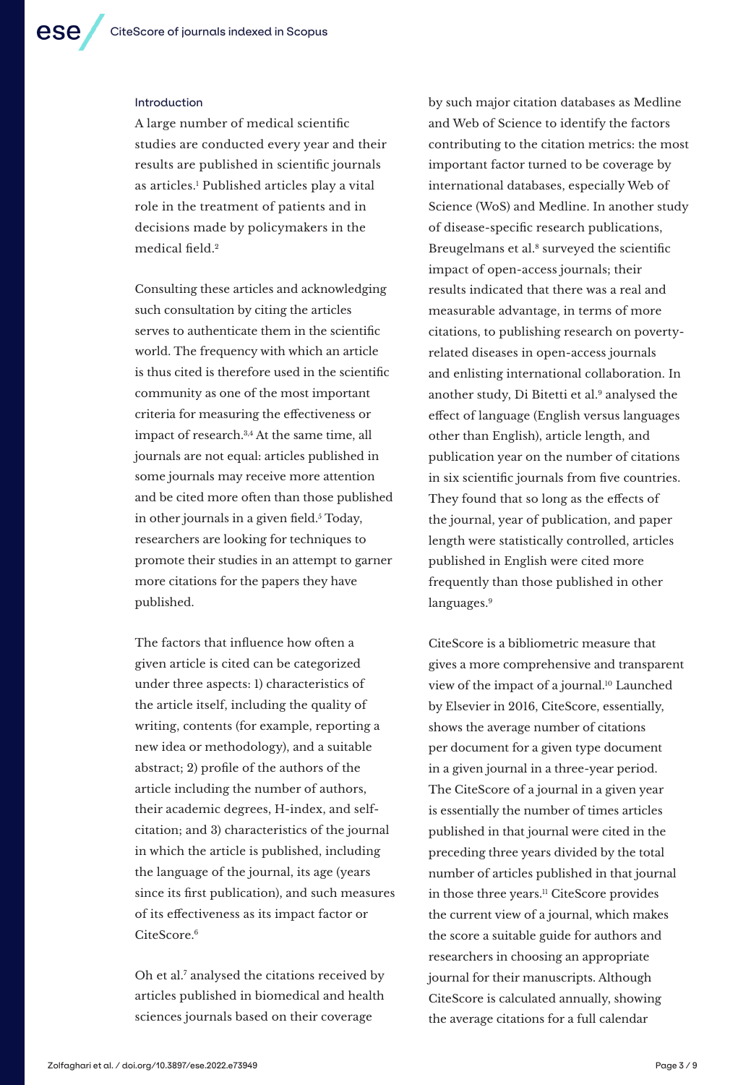#### Introduction

A large number of medical scientific studies are conducted every year and their results are published in scientific journals as articles.' Published articles play a vital role in the treatment of patients and in decisions made by policymakers in the medical field.<sup>2</sup>

Consulting these articles and acknowledging such consultation by citing the articles serves to authenticate them in the scientific world. The frequency with which an article is thus cited is therefore used in the scientific community as one of the most important criteria for measuring the effectiveness or impact of research.3,4 At the same time, all journals are not equal: articles published in some journals may receive more attention and be cited more often than those published in other journals in a given field.<sup>5</sup> Today, researchers are looking for techniques to promote their studies in an attempt to garner more citations for the papers they have published.

The factors that influence how often a given article is cited can be categorized under three aspects: 1) characteristics of the article itself, including the quality of writing, contents (for example, reporting a new idea or methodology), and a suitable abstract; 2) profile of the authors of the article including the number of authors, their academic degrees, H-index, and selfcitation; and 3) characteristics of the journal in which the article is published, including the language of the journal, its age (years since its first publication), and such measures of its effectiveness as its impact factor or CiteScore.<sup>6</sup>

Oh et al.7 analysed the citations received by articles published in biomedical and health sciences journals based on their coverage

by such major citation databases as Medline and Web of Science to identify the factors contributing to the citation metrics: the most important factor turned to be coverage by international databases, especially Web of Science (WoS) and Medline. In another study of disease-specific research publications, Breugelmans et al.<sup>8</sup> surveyed the scientific impact of open-access journals; their results indicated that there was a real and measurable advantage, in terms of more citations, to publishing research on povertyrelated diseases in open-access journals and enlisting international collaboration. In another study, Di Bitetti et al.9 analysed the effect of language (English versus languages other than English), article length, and publication year on the number of citations in six scientific journals from five countries. They found that so long as the effects of the journal, year of publication, and paper length were statistically controlled, articles published in English were cited more frequently than those published in other languages.<sup>9</sup>

CiteScore is a bibliometric measure that gives a more comprehensive and transparent view of the impact of a journal.10 Launched by Elsevier in 2016, CiteScore, essentially, shows the average number of citations per document for a given type document in a given journal in a three-year period. The CiteScore of a journal in a given year is essentially the number of times articles published in that journal were cited in the preceding three years divided by the total number of articles published in that journal in those three years.11 CiteScore provides the current view of a journal, which makes the score a suitable guide for authors and researchers in choosing an appropriate journal for their manuscripts. Although CiteScore is calculated annually, showing the average citations for a full calendar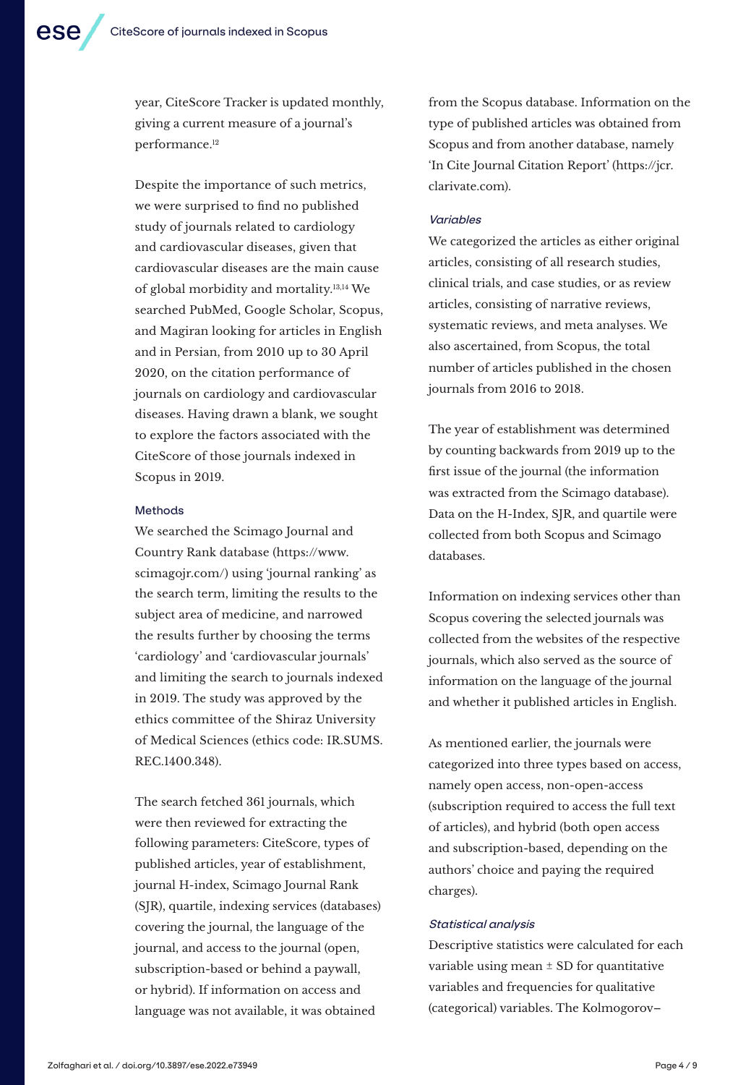year, CiteScore Tracker is updated monthly, giving a current measure of a journal's performance.12

Despite the importance of such metrics, we were surprised to find no published study of journals related to cardiology and cardiovascular diseases, given that cardiovascular diseases are the main cause of global morbidity and mortality.13,14 We searched PubMed, Google Scholar, Scopus, and Magiran looking for articles in English and in Persian, from 2010 up to 30 April 2020, on the citation performance of journals on cardiology and cardiovascular diseases. Having drawn a blank, we sought to explore the factors associated with the CiteScore of those journals indexed in Scopus in 2019.

#### Methods

We searched the Scimago Journal and Country Rank database (https://www. scimagojr.com/) using 'journal ranking' as the search term, limiting the results to the subject area of medicine, and narrowed the results further by choosing the terms 'cardiology' and 'cardiovascular journals' and limiting the search to journals indexed in 2019. The study was approved by the ethics committee of the Shiraz University of Medical Sciences (ethics code: IR.SUMS. REC.1400.348).

The search fetched 361 journals, which were then reviewed for extracting the following parameters: CiteScore, types of published articles, year of establishment, journal H-index, Scimago Journal Rank (SJR), quartile, indexing services (databases) covering the journal, the language of the journal, and access to the journal (open, subscription-based or behind a paywall, or hybrid). If information on access and language was not available, it was obtained

from the Scopus database. Information on the type of published articles was obtained from Scopus and from another database, namely 'In Cite Journal Citation Report' (https://jcr. clarivate.com).

#### Variables

We categorized the articles as either original articles, consisting of all research studies, clinical trials, and case studies, or as review articles, consisting of narrative reviews, systematic reviews, and meta analyses. We also ascertained, from Scopus, the total number of articles published in the chosen journals from 2016 to 2018.

The year of establishment was determined by counting backwards from 2019 up to the first issue of the journal (the information was extracted from the Scimago database). Data on the H-Index, SJR, and quartile were collected from both Scopus and Scimago databases.

Information on indexing services other than Scopus covering the selected journals was collected from the websites of the respective journals, which also served as the source of information on the language of the journal and whether it published articles in English.

As mentioned earlier, the journals were categorized into three types based on access, namely open access, non-open-access (subscription required to access the full text of articles), and hybrid (both open access and subscription-based, depending on the authors' choice and paying the required charges).

#### Statistical analysis

Descriptive statistics were calculated for each variable using mean  $\pm$  SD for quantitative variables and frequencies for qualitative (categorical) variables. The Kolmogorov–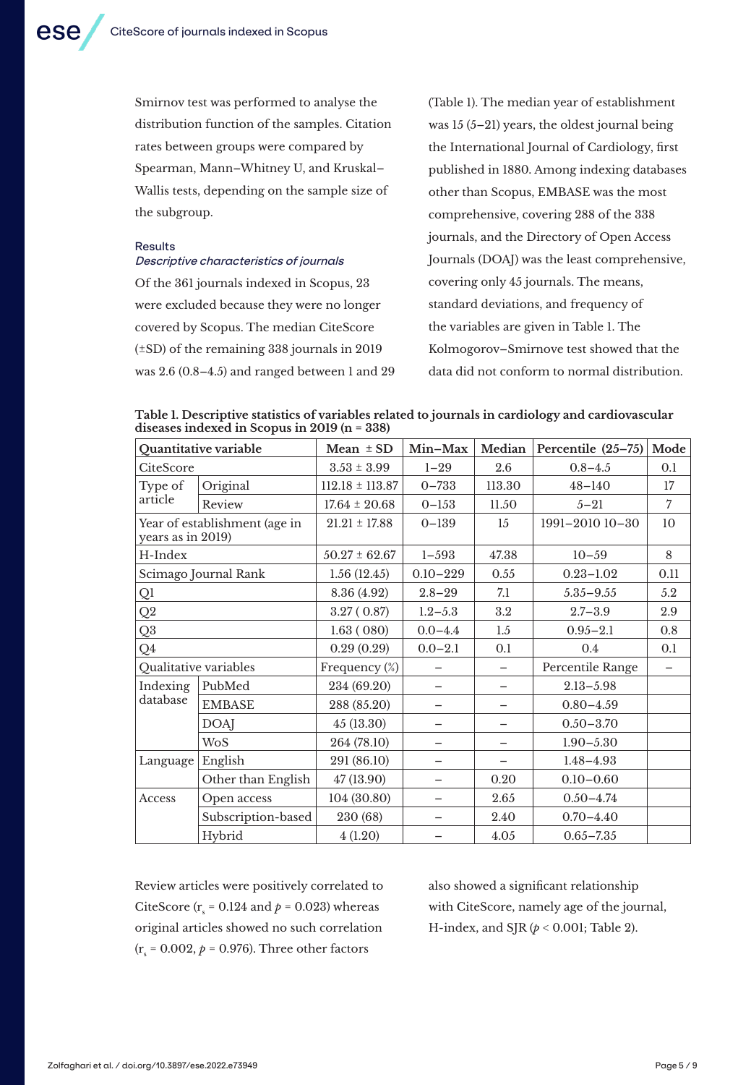Smirnov test was performed to analyse the distribution function of the samples. Citation rates between groups were compared by Spearman, Mann–Whitney U, and Kruskal– Wallis tests, depending on the sample size of the subgroup.

#### Results

### Descriptive characteristics of journals

Of the 361 journals indexed in Scopus, 23 were excluded because they were no longer covered by Scopus. The median CiteScore (±SD) of the remaining 338 journals in 2019 was 2.6 (0.8–4.5) and ranged between 1 and 29 (Table 1). The median year of establishment was 15 (5–21) years, the oldest journal being the International Journal of Cardiology, first published in 1880. Among indexing databases other than Scopus, EMBASE was the most comprehensive, covering 288 of the 338 journals, and the Directory of Open Access Journals (DOAJ) was the least comprehensive, covering only 45 journals. The means, standard deviations, and frequency of the variables are given in Table 1. The Kolmogorov–Smirnove test showed that the data did not conform to normal distribution.

|                                              | Table 1. Descriptive statistics of variables related to journals in cardiology and cardiovascular |  |
|----------------------------------------------|---------------------------------------------------------------------------------------------------|--|
| diseases indexed in Scopus in 2019 (n = 338) |                                                                                                   |  |

|                      | Quantitative variable         | Mean $\pm$ SD       | Min-Max      | Median | Percentile $(25-75)$ | Mode           |
|----------------------|-------------------------------|---------------------|--------------|--------|----------------------|----------------|
| CiteScore            |                               | $3.53 \pm 3.99$     | $1 - 29$     | 2.6    | $0.8 - 4.5$          | 0.1            |
| Type of              | Original                      | $112.18 \pm 113.87$ | $0 - 733$    | 113.30 | $48 - 140$           | 17             |
| article              | Review                        | $17.64 \pm 20.68$   | $0 - 153$    | 11.50  | $5 - 21$             | $\overline{7}$ |
| years as in 2019)    | Year of establishment (age in | $21.21 \pm 17.88$   | $0 - 139$    | 15     | 1991-2010 10-30      | 10             |
| H-Index              |                               | $50.27 \pm 62.67$   | $1 - 593$    | 47.38  | $10 - 59$            | 8              |
|                      | Scimago Journal Rank          | 1.56(12.45)         | $0.10 - 229$ | 0.55   | $0.23 - 1.02$        | 0.11           |
| Ql                   |                               | 8.36 (4.92)         | $2.8 - 29$   | 7.1    | $5.35 - 9.55$        | 5.2            |
| $\mathbf{Q}2$        |                               | 3.27(0.87)          | $1.2 - 5.3$  | 3.2    | $2.7 - 3.9$          | 2.9            |
| Q3                   |                               | 1.63(080)           | $0.0 - 4.4$  | 1.5    | $0.95 - 2.1$         | 0.8            |
| Q <sub>4</sub>       |                               | 0.29(0.29)          | $0.0 - 2.1$  | 0.1    | 0.4                  | 0.1            |
|                      | Qualitative variables         | Frequency (%)       |              |        | Percentile Range     | -              |
| Indexing<br>database | PubMed                        | 234 (69.20)         |              |        | $2.13 - 5.98$        |                |
|                      | <b>EMBASE</b>                 | 288 (85.20)         |              |        | $0.80 - 4.59$        |                |
|                      | <b>DOAJ</b>                   | 45(13.30)           |              |        | $0.50 - 3.70$        |                |
|                      | <b>WoS</b>                    | 264 (78.10)         |              | -      | $1.90 - 5.30$        |                |
| Language English     |                               | 291 (86.10)         |              |        | $1.48 - 4.93$        |                |
|                      | Other than English            | 47 (13.90)          |              | 0.20   | $0.10 - 0.60$        |                |
| Access               | Open access                   | 104 (30.80)         |              | 2.65   | $0.50 - 4.74$        |                |
|                      | Subscription-based            | 230 (68)            |              | 2.40   | $0.70 - 4.40$        |                |
|                      | Hybrid                        | 4(1.20)             |              | 4.05   | $0.65 - 7.35$        |                |

Review articles were positively correlated to CiteScore ( $r_s$  = 0.124 and  $p$  = 0.023) whereas original articles showed no such correlation  $(r<sub>s</sub> = 0.002, p = 0.976)$ . Three other factors

also showed a significant relationship with CiteScore, namely age of the journal, H-index, and SJR (*p* < 0.001; Table 2).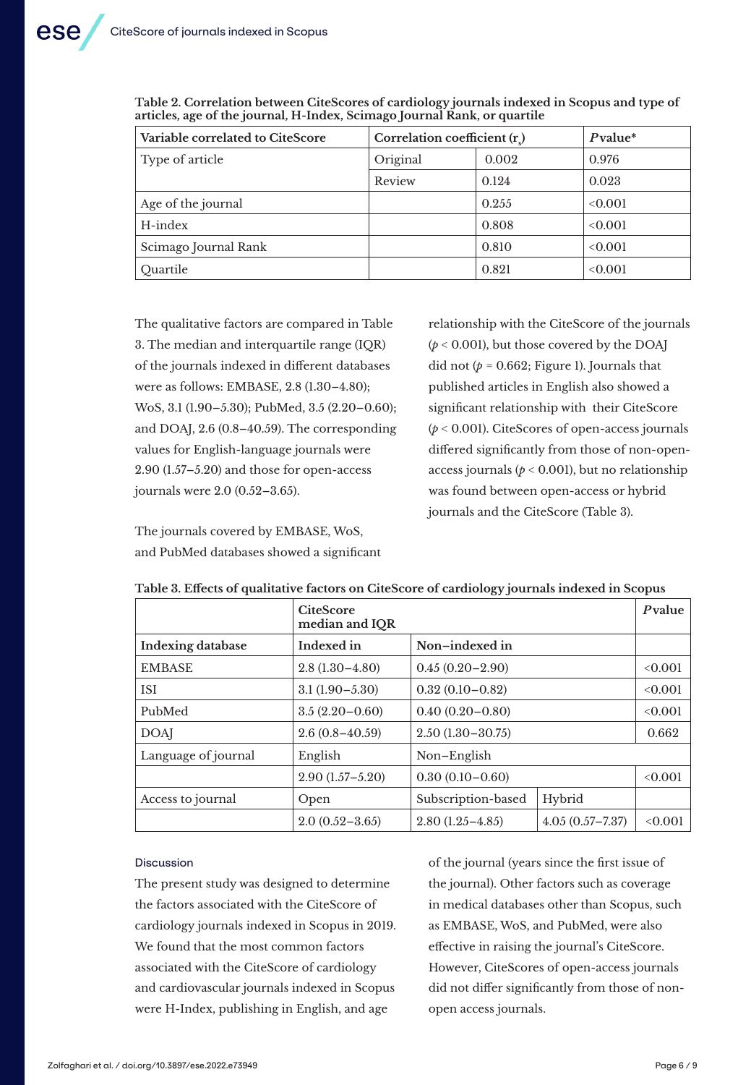| Variable correlated to CiteScore | Correlation coefficient $(r)$ |       | $P$ value* |
|----------------------------------|-------------------------------|-------|------------|
| Type of article                  | Original                      | 0.002 | 0.976      |
|                                  | Review                        | 0.124 | 0.023      |
| Age of the journal               |                               | 0.255 | <0.001     |
| H-index                          |                               | 0.808 | <0.001     |
| Scimago Journal Rank             |                               | 0.810 | <0.001     |
| Ouartile                         |                               | 0.821 | <0.001     |

**Table 2. Correlation between CiteScores of cardiology journals indexed in Scopus and type of articles, age of the journal, H-Index, Scimago Journal Rank, or quartile**

The qualitative factors are compared in Table 3. The median and interquartile range (IQR) of the journals indexed in different databases were as follows: EMBASE, 2.8 (1.30–4.80); WoS, 3.1 (1.90–5.30); PubMed, 3.5 (2.20–0.60); and DOAJ, 2.6 (0.8–40.59). The corresponding values for English-language journals were 2.90 (1.57–5.20) and those for open-access journals were 2.0 (0.52–3.65).

The journals covered by EMBASE, WoS, and PubMed databases showed a significant relationship with the CiteScore of the journals (*p* < 0.001), but those covered by the DOAJ did not  $(p = 0.662;$  Figure 1). Journals that published articles in English also showed a significant relationship with their CiteScore (*p* < 0.001). CiteScores of open-access journals differed significantly from those of non-openaccess journals ( $p < 0.001$ ), but no relationship was found between open-access or hybrid journals and the CiteScore (Table 3).

|                          | <b>CiteScore</b><br>median and IQR |                     |                     | Pvalue  |
|--------------------------|------------------------------------|---------------------|---------------------|---------|
| <b>Indexing database</b> | Indexed in                         | Non-indexed in      |                     |         |
| <b>EMBASE</b>            | $2.8(1.30-4.80)$                   | $0.45(0.20 - 2.90)$ | <0.001              |         |
| <b>ISI</b>               | $3.1(1.90 - 5.30)$                 | $0.32(0.10 - 0.82)$ | <0.001              |         |
| PubMed                   | $3.5(2.20-0.60)$                   | $0.40(0.20 - 0.80)$ | <0.001              |         |
| <b>DOAI</b>              | $2.6(0.8-40.59)$                   | $2.50(1.30-30.75)$  | 0.662               |         |
| Language of journal      | English                            | Non-English         |                     |         |
|                          | $2.90(1.57 - 5.20)$                | $0.30(0.10 - 0.60)$ |                     | < 0.001 |
| Access to journal        | Open                               | Subscription-based  | Hybrid              |         |
|                          | $2.0(0.52 - 3.65)$                 | $2.80(1.25 - 4.85)$ | $4.05(0.57 - 7.37)$ | <0.001  |

#### **Table 3. Effects of qualitative factors on CiteScore of cardiology journals indexed in Scopus**

#### Discussion

The present study was designed to determine the factors associated with the CiteScore of cardiology journals indexed in Scopus in 2019. We found that the most common factors associated with the CiteScore of cardiology and cardiovascular journals indexed in Scopus were H-Index, publishing in English, and age

of the journal (years since the first issue of the journal). Other factors such as coverage in medical databases other than Scopus, such as EMBASE, WoS, and PubMed, were also effective in raising the journal's CiteScore. However, CiteScores of open-access journals did not differ significantly from those of nonopen access journals.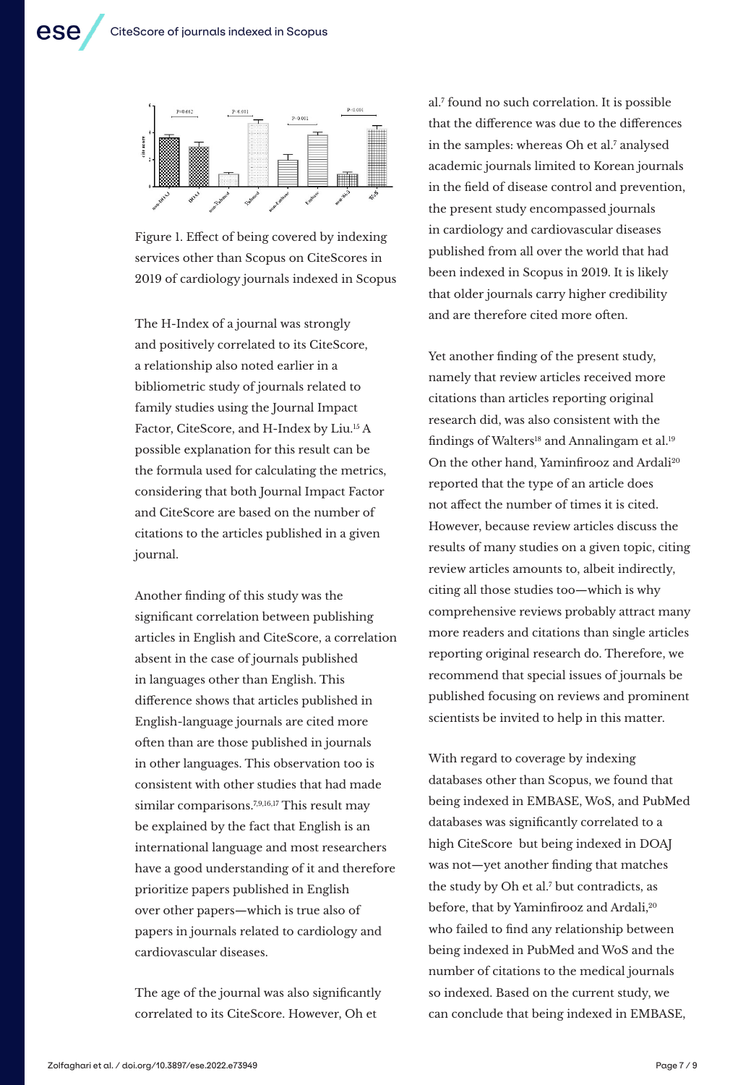

Figure 1. Effect of being covered by indexing services other than Scopus on CiteScores in 2019 of cardiology journals indexed in Scopus

The H-Index of a journal was strongly and positively correlated to its CiteScore, a relationship also noted earlier in a bibliometric study of journals related to family studies using the Journal Impact Factor, CiteScore, and H-Index by Liu.<sup>15</sup> A possible explanation for this result can be the formula used for calculating the metrics, considering that both Journal Impact Factor and CiteScore are based on the number of citations to the articles published in a given journal.

Another finding of this study was the significant correlation between publishing articles in English and CiteScore, a correlation absent in the case of journals published in languages other than English. This difference shows that articles published in English-language journals are cited more often than are those published in journals in other languages. This observation too is consistent with other studies that had made similar comparisons.<sup>7,9,16,17</sup> This result may be explained by the fact that English is an international language and most researchers have a good understanding of it and therefore prioritize papers published in English over other papers—which is true also of papers in journals related to cardiology and cardiovascular diseases.

The age of the journal was also significantly correlated to its CiteScore. However, Oh et

al.7 found no such correlation. It is possible that the difference was due to the differences in the samples: whereas Oh et al.<sup>7</sup> analysed academic journals limited to Korean journals in the field of disease control and prevention, the present study encompassed journals in cardiology and cardiovascular diseases published from all over the world that had been indexed in Scopus in 2019. It is likely that older journals carry higher credibility and are therefore cited more often.

Yet another finding of the present study, namely that review articles received more citations than articles reporting original research did, was also consistent with the findings of Walters<sup>18</sup> and Annalingam et al.<sup>19</sup> On the other hand, Yaminfirooz and Ardali<sup>20</sup> reported that the type of an article does not affect the number of times it is cited. However, because review articles discuss the results of many studies on a given topic, citing review articles amounts to, albeit indirectly, citing all those studies too—which is why comprehensive reviews probably attract many more readers and citations than single articles reporting original research do. Therefore, we recommend that special issues of journals be published focusing on reviews and prominent scientists be invited to help in this matter.

With regard to coverage by indexing databases other than Scopus, we found that being indexed in EMBASE, WoS, and PubMed databases was significantly correlated to a high CiteScore but being indexed in DOAJ was not—yet another finding that matches the study by Oh et al.<sup>7</sup> but contradicts, as before, that by Yaminfirooz and Ardali,<sup>20</sup> who failed to find any relationship between being indexed in PubMed and WoS and the number of citations to the medical journals so indexed. Based on the current study, we can conclude that being indexed in EMBASE,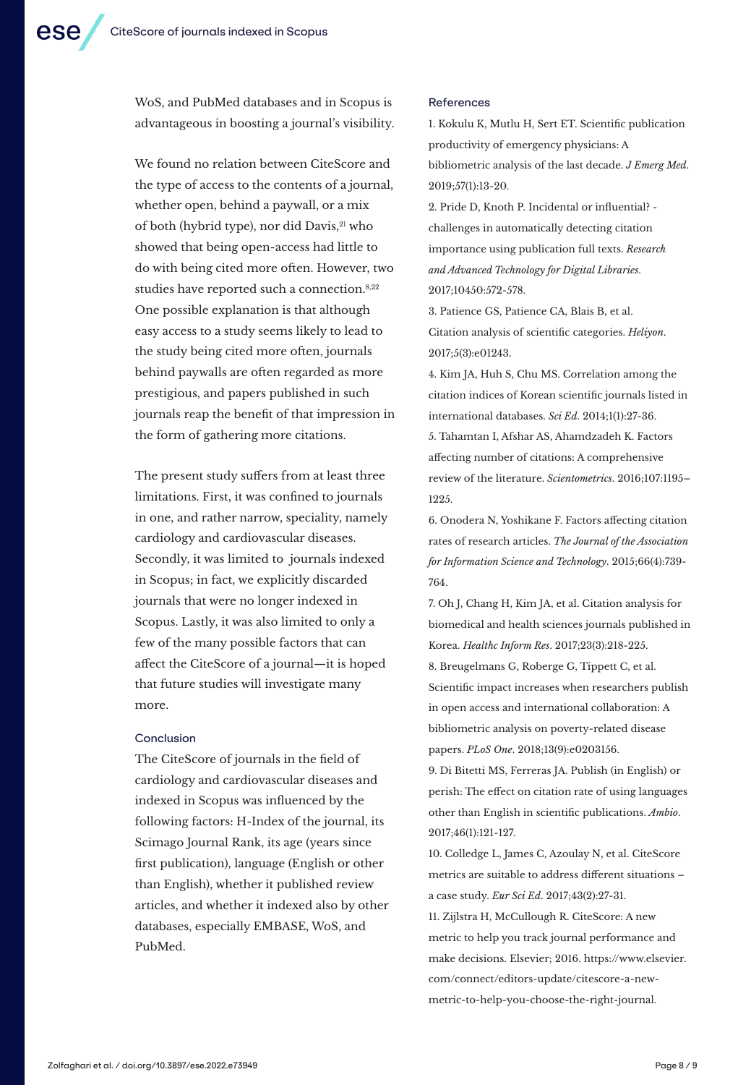WoS, and PubMed databases and in Scopus is advantageous in boosting a journal's visibility.

We found no relation between CiteScore and the type of access to the contents of a journal, whether open, behind a paywall, or a mix of both (hybrid type), nor did Davis, 21 who showed that being open-access had little to do with being cited more often. However, two studies have reported such a connection.<sup>8,22</sup> One possible explanation is that although easy access to a study seems likely to lead to the study being cited more often, journals behind paywalls are often regarded as more prestigious, and papers published in such journals reap the benefit of that impression in the form of gathering more citations.

The present study suffers from at least three limitations. First, it was confined to journals in one, and rather narrow, speciality, namely cardiology and cardiovascular diseases. Secondly, it was limited to journals indexed in Scopus; in fact, we explicitly discarded journals that were no longer indexed in Scopus. Lastly, it was also limited to only a few of the many possible factors that can affect the CiteScore of a journal—it is hoped that future studies will investigate many more.

#### Conclusion

The CiteScore of journals in the field of cardiology and cardiovascular diseases and indexed in Scopus was influenced by the following factors: H-Index of the journal, its Scimago Journal Rank, its age (years since first publication), language (English or other than English), whether it published review articles, and whether it indexed also by other databases, especially EMBASE, WoS, and PubMed.

#### References

1. Kokulu K, Mutlu H, Sert ET. Scientific publication productivity of emergency physicians: A bibliometric analysis of the last decade. *J Emerg Med*. 2019;57(1):13-20.

2. Pride D, Knoth P. Incidental or influential? challenges in automatically detecting citation importance using publication full texts. *Research and Advanced Technology for Digital Libraries*. 2017;10450:572-578.

3. Patience GS, Patience CA, Blais B, et al. Citation analysis of scientific categories. *Heliyon*. 2017;5(3):e01243.

4. Kim JA, Huh S, Chu MS. Correlation among the citation indices of Korean scientific journals listed in international databases. *Sci Ed*. 2014;1(1):27-36. 5. Tahamtan I, Afshar AS, Ahamdzadeh K. Factors affecting number of citations: A comprehensive review of the literature. *Scientometrics*. 2016;107:1195– 1225.

6. Onodera N, Yoshikane F. Factors affecting citation rates of research articles. *The Journal of the Association for Information Science and Technology*. 2015;66(4):739- 764.

7. Oh J, Chang H, Kim JA, et al. Citation analysis for biomedical and health sciences journals published in Korea. *Healthc Inform Res*. 2017;23(3):218-225.

8. Breugelmans G, Roberge G, Tippett C, et al. Scientific impact increases when researchers publish in open access and international collaboration: A bibliometric analysis on poverty-related disease papers. *PLoS One*. 2018;13(9):e0203156.

9. Di Bitetti MS, Ferreras JA. Publish (in English) or perish: The effect on citation rate of using languages other than English in scientific publications. *Ambio*. 2017;46(1):121-127.

10. Colledge L, James C, Azoulay N, et al. CiteScore metrics are suitable to address different situations – a case study. *Eur Sci Ed*. 2017;43(2):27-31.

11. Zijlstra H, McCullough R. CiteScore: A new metric to help you track journal performance and make decisions. Elsevier; 2016. https://www.elsevier. com/connect/editors-update/citescore-a-newmetric-to-help-you-choose-the-right-journal.